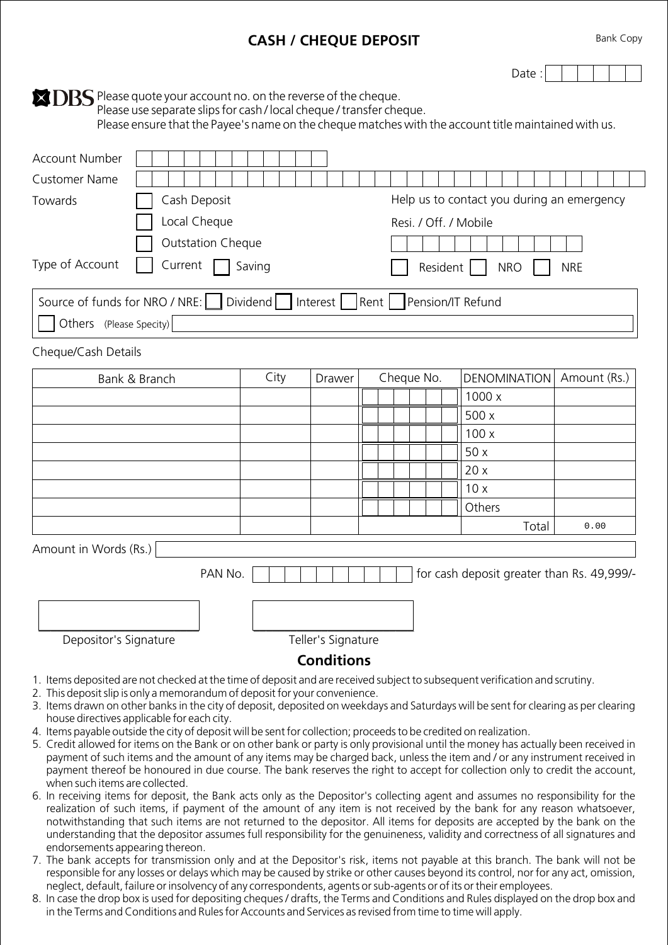## **CASH / CHEQUE DEPOSIT**

Bank Copy

Date:

**EXDBS** Please quote your account no. on the reverse of the cheque. Please use separate slips for cash / local cheque / transfer cheque.

Please ensure that the Payee's name on the cheque matches with the account title maintained with us.

| <b>Account Number</b>                                                          |                                                                                         |  |                       |  |  |  |  |        |              |  |  |
|--------------------------------------------------------------------------------|-----------------------------------------------------------------------------------------|--|-----------------------|--|--|--|--|--------|--------------|--|--|
| Customer Name                                                                  |                                                                                         |  |                       |  |  |  |  |        |              |  |  |
| Towards                                                                        | Cash Deposit<br>Help us to contact you during an emergency                              |  |                       |  |  |  |  |        |              |  |  |
|                                                                                | Local Cheque                                                                            |  | Resi. / Off. / Mobile |  |  |  |  |        |              |  |  |
|                                                                                | <b>Outstation Cheque</b>                                                                |  |                       |  |  |  |  |        |              |  |  |
| Type of Account<br>Current<br>Saving<br>Resident  <br><b>NRE</b><br><b>NRO</b> |                                                                                         |  |                       |  |  |  |  |        |              |  |  |
|                                                                                | Source of funds for NRO / NRE:     Dividend     Interest     Rent     Pension/IT Refund |  |                       |  |  |  |  |        |              |  |  |
| Others (Please Specity)                                                        |                                                                                         |  |                       |  |  |  |  |        |              |  |  |
| Cheque/Cash Details                                                            |                                                                                         |  |                       |  |  |  |  |        |              |  |  |
| City<br>Cheque No.<br><b>DENOMINATION</b><br>Bank & Branch<br>Drawer           |                                                                                         |  |                       |  |  |  |  |        | Amount (Rs.) |  |  |
|                                                                                |                                                                                         |  |                       |  |  |  |  | 1000 x |              |  |  |
| 500 x                                                                          |                                                                                         |  |                       |  |  |  |  |        |              |  |  |
|                                                                                |                                                                                         |  |                       |  |  |  |  | 100x   |              |  |  |
|                                                                                |                                                                                         |  |                       |  |  |  |  | 50x    |              |  |  |

|                       |         |                    |  |  | 10x                                        |      |
|-----------------------|---------|--------------------|--|--|--------------------------------------------|------|
|                       |         |                    |  |  | Others                                     |      |
|                       |         |                    |  |  | Total                                      | 0.00 |
| Amount in Words (Rs.) |         |                    |  |  |                                            |      |
|                       | PAN No. |                    |  |  | for cash deposit greater than Rs. 49,999/- |      |
|                       |         |                    |  |  |                                            |      |
| Depositor's Signature |         | Teller's Signature |  |  |                                            |      |

20 x

## **Conditions**

- 1. Items deposited are not checked at the time of deposit and are received subject to subsequent verification and scrutiny.
- 2. This deposit slip is only a memorandum of deposit for your convenience.
- 3. Items drawn on other banks in the city of deposit, deposited on weekdays and Saturdays will be sent for clearing as per clearing house directives applicable for each city.
- 4. Items payable outside the city of deposit will be sent for collection; proceeds to be credited on realization.
- 5. Credit allowed for items on the Bank or on other bank or party is only provisional until the money has actually been received in payment of such items and the amount of any items may be charged back, unless the item and / or any instrument received in payment thereof be honoured in due course. The bank reserves the right to accept for collection only to credit the account, when such items are collected.
- 6. In receiving items for deposit, the Bank acts only as the Depositor's collecting agent and assumes no responsibility for the realization of such items, if payment of the amount of any item is not received by the bank for any reason whatsoever, notwithstanding that such items are not returned to the depositor. All items for deposits are accepted by the bank on the understanding that the depositor assumes full responsibility for the genuineness, validity and correctness of all signatures and endorsements appearing thereon.
- 7. The bank accepts for transmission only and at the Depositor's risk, items not payable at this branch. The bank will not be responsible for any losses or delays which may be caused by strike or other causes beyond its control, nor for any act, omission, neglect, default, failure or insolvency of any correspondents, agents or sub-agents or of its or their employees.
- 8. In case the drop box is used for depositing cheques / drafts, the Terms and Conditions and Rules displayed on the drop box and in the Terms and Conditions and Rules for Accounts and Services as revised from time to time will apply.